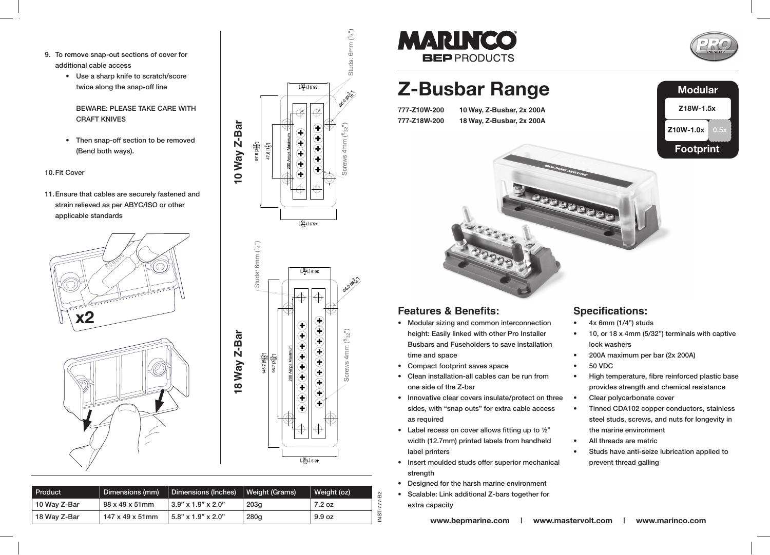- 9. To remove snap-out sections of cover for additional cable access
	- • Use a sharp knife to scratch/score twice along the snap-off line

**BEWARE: PLEASE TAKE CARE WITH CRAFT KNIVES**  $U(x)$  is the set of scale to scale the scale to scale the scale to scale the scale to scale the score to scale the score to scale the score to scale the score to score the score to score that  $U(x)$ 

• Then snap-off section to be removed (Bend both ways).

#### 10. Fit Cover

strain relieved as per ABYC/ISO or other applicable standards 11. Ensure that cables are securely fastened and









| Product      | Dimensions (mm)              | Dimensions (Inches)        | Weight (Grams) | Weight (oz)<br>လ္က           |
|--------------|------------------------------|----------------------------|----------------|------------------------------|
| 10 Wav Z-Bar | 98 x 49 x 51mm               | $3.90 \times 1.9$ " x 2.0" | 203q           | $-207$                       |
| 18 Way Z-Bar | $147 \times 49 \times 51$ mm | $3.8\%$ \text{3.9" x 2.0"  | 280q           | ່ທ<br>9.9 <sub>oz</sub><br>z |
|              |                              |                            |                |                              |



## **Z-Busbar Range 777-Z10W-200 10 Way, Z-Busbar, 2x 200A 777-Z18W-200 18 Way, Z-Busbar, 2x 200A**



# **Modular Z18W-1.5x Z10W-1.0x 0.5x Footprint** 300000000

#### **Features & Benefits:**

- Modular sizing and common interconnection height: Easily linked with other Pro Installer Busbars and Fuseholders to save installation time and space
- Compact footprint saves space
- Clean installation-all cables can be run from one side of the Z-bar
- Innovative clear covers insulate/protect on three sides, with "snap outs" for extra cable access as required
- Label recess on cover allows fitting up to  $\frac{1}{2}$ " width (12.7mm) printed labels from handheld label printers
- Insert moulded studs offer superior mechanical strength
- Designed for the harsh marine environment
- Scalable: Link additional Z-bars together for extra capacity

#### **Specifications:**

- $4x$  6mm (1/4") studs
- 10, or 18  $x$  4mm (5/32") terminals with captive lock washers
- 200A maximum per bar (2x 200A)
- 50 VDC
- High temperature, fibre reinforced plastic base provides strength and chemical resistance
- Clear polycarbonate cover
- Tinned CDA102 copper conductors, stainless steel studs, screws, and nuts for longevity in the marine environment
- All threads are metric
- Studs have anti-seize lubrication applied to prevent thread galling

**www.bepmarine.com | www.mastervolt.com | www.marinco.com**